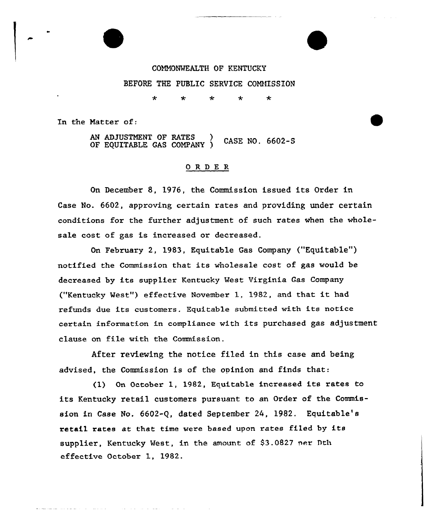COMMONWEALTH OF KENTUCKY BEFORE THE PUBLIC SERVICE COMMISSION

> $\star$ ÷ ÷

In the Matter of:

AN ADJUSTMENT OF RATES CASE NO. 6602-S OF EQUITABLE GAS COMPANY )

## ORDER

On December 8, 1976, the Commission issued its Order in Case No. 6602, approving certain rates and providing under certain conditions for the further adjustment of such rates when the wholesale cost of gas is increased or decreased.

On February 2, 1983, Equitable Gas Company ("Equitable") notified the Commission that its wholesale cost of gas would be decreased by its supplier Kentucky West Virginia Gas Company ("Kentucky West") effective November 1, 1982, and that it had refunds due its customers. Equitable submitted with its notice certain information in compliance with its purchased gas adjustment clause on file with the Commission.

After reviewing the notice filed in this case and being advised, the Commission is of the opinion and finds that:

(1) On October 1, 1982, Equitable increased its rates to its Kentucky retail customers pursuant to an Order of the Commission in Case No. 6602-Q, dated September 24, 1982. Equitable's retail rates at that time were based upon rates filed by its supplier, Kentucky West, in the amount of \$3.0827 per Dth effective October 1, 1982.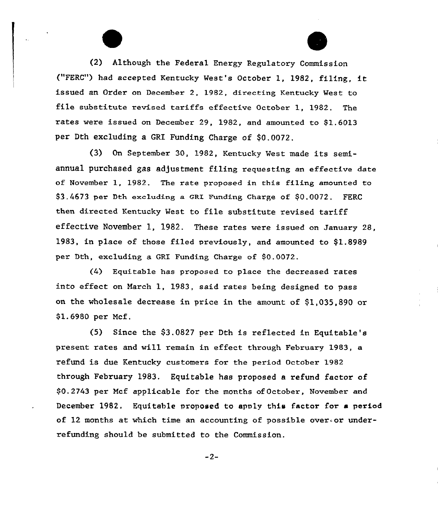(2) Although the Federal Energy Regulatory Commission ("FERC") had accepted Kentucky West's October 1, 1982, filing, it issued an Order on December 2, 1982, directing Kentucky West to file substitute revised tariffs effective October 1, 1982. The rates were issued on December 29, 1982, and amounted to \$1.6013 per Dth excluding a GRI Funding Charge of \$0.0072.

(3) On September 30, 1982, Kentucky Vest made its semiannual purchased gas adjustment filing requesting an effective date of November 1, 1982. The rate proposed in this filing amounted to \$3.4673 per Dth excluding a GRX Funding charge of \$0.0072. FERC then directed Kentucky Vest to file substitute revised tariff effective November 1, 1982. These rates were issued on January 28, 1983, in place of those filed previously, and amounted to \$1.8989 per Dth, excluding a GRI Funding Charge of \$0.0072.

(4) Equitable has proposed to place the decreased rates into effect on March 1, 1983, said rates being designed to pass on the wholesale decrease in price in the amount of \$1,035,890 or \$1.6980 per Mcf.

(5) Since the \$3.0827 per Dth is reflected in Equitable's present rates and will remain in effect through February 1983, a refund is due Kentucky customers for the period October 1982 through February 1983. Equitable has proposed a refund factor of \$0.2743 per Mcf applicable for the months ofOctober, November and December 1982. Equitable proposed to apply this factor for a period of 12 months at which time an accounting of possible over or underrefunding should, be submitted to the Commission.

 $-2-$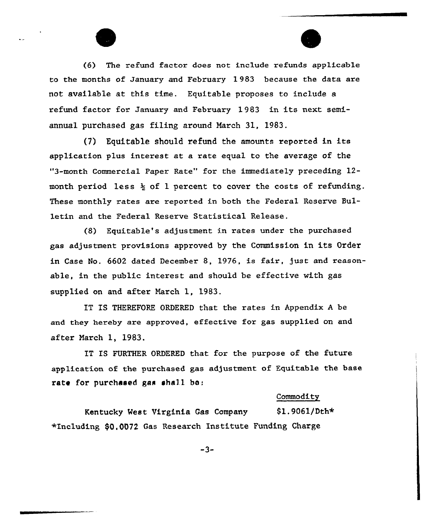(6) The refund factor does not include refunds applicable to the months of January and February 1 983 because the data are not available at. this time. Equitable proposes to include a refund factor fox January and February 1 983 in its next semiannual purchased gas filing around March 31, 1983.

(7) Equitable should refund the amounts reported in its application plus interest at a rate equal to the average of the "3-month Commercial Paper Rate" for the immediately preceding 12month period less  $\frac{1}{2}$  of 1 percent to cover the costs of refunding. These monthly rates are reported in both the Federal Reserve Bulletin and the Federal Reserve Statistical Release.

(8) Equitable's adjustment in rates under the purchased gas adjustment provisions approved by the Commission in its Order in Case No. 6602 dated Decembex 8, 1976, is faix, just and reasonable, in the public interest and should be effective with gas supplied on and after Narch 1, 1983.

IT IS THEREFORE ORDERED that the rates in Appendix <sup>A</sup> be and they hereby are approved, effective for gas supplied on and after Narch 1, 1983.

IT IS FURTHER ORDERED that for the purpose of the future application of the purchased gas adjustment of Equitable the base rate for purchased gas shall ba:

## **Commodity**

Kentucky West Virginia Gas Company \$1.9061/Dth\* +Including \$0,0072 Gas Research Institute Funding Charge

 $-3-$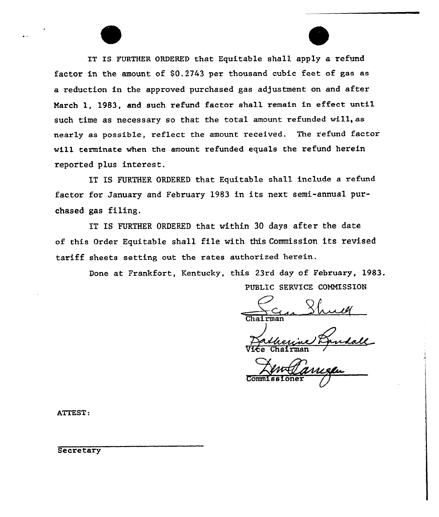IT IS FURTHER ORDERED that Equitable shall apply a refund factor in the amount of \$0.2743 per thousand cubic feet of gas as a reduction in the approved purchased gas adjustment on and after March 1, 1983, and such refund factor shall remain in effect until such time as necessary so that the total amount refunded wil1, as nearly as possible, reflect the amount received. The refund factor will terminate when the amount refunded equals the refund herein reported plus interest.

IT IS FURTHER ORDERED that Equitable sha11 include a zefund factor for January and February 1983 in its next semi-annual purchased gas filing.

IT IS FURTHER ORDERED that within 30 days after the date of this Order Equitable shall file with this Commission its revised tariff sheets setting out the rates authorized herein.

Done at Frankfort, Kentucky, this 23rd day of February, 1983. PUBLIC SERVICE COMMISSION

Chairma

Vice Chairma

Co

ATTEST:

**Secretary**